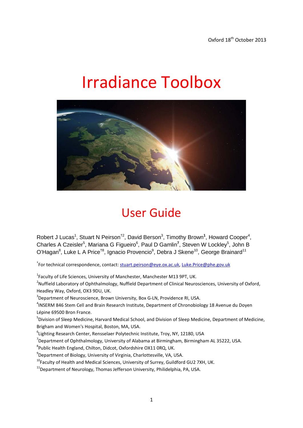# Irradiance Toolbox



# User Guide

Robert J Lucas<sup>1</sup>, Stuart N Peirson<sup>†2</sup>, David Berson<sup>3</sup>, Timothy Brown<sup>1</sup>, Howard Cooper<sup>4</sup>, Charles A Czeisler<sup>5</sup>, Mariana G Figueiro<sup>6</sup>, Paul D Gamlin<sup>7</sup>, Steven W Lockley<sup>5</sup>, John B O'Hagan<sup>8</sup>, Luke L A Price<sup>†8</sup>, Ignacio Provencio<sup>9</sup>, Debra J Skene<sup>10</sup>, George Brainard<sup>11</sup>

<sup>†</sup>For technical correspondence, contact: <u>stuart.peirson@eye.ox.ac.uk</u>, <u>[Luke.Price@phe.gov.uk](mailto:Luke.Price@phe.gov.uk)</u>

<sup>1</sup>Faculty of Life Sciences, University of Manchester, Manchester M13 9PT, UK.

<sup>2</sup>Nuffield Laboratory of Ophthalmology, Nuffield Department of Clinical Neurosciences, University of Oxford, Headley Way, Oxford, OX3 9DU, UK.

<sup>3</sup>Department of Neuroscience, Brown University, Box G-LN, Providence RI, USA.

<sup>4</sup>INSERM 846 Stem Cell and Brain Research Institute, Department of Chronobiology 18 Avenue du Doyen Lépine 69500 Bron France.

5 Division of Sleep Medicine, Harvard Medical School, and Division of Sleep Medicine, Department of Medicine, Brigham and Women's Hospital, Boston, MA, USA.

6 Lighting Research Center, Rensselaer Polytechnic Institute, Troy, NY, 12180, USA

 $^7$ Department of Ophthalmology, University of Alabama at Birmingham, Birmingham AL 35222, USA.

8 Public Health England, Chilton, Didcot, Oxfordshire OX11 0RQ, UK.

 $^{9}$ Department of Biology, University of Virginia, Charlottesville, VA, USA.

<sup>10</sup>Faculty of Health and Medical Sciences, University of Surrey, Guildford GU2 7XH, UK.

 $11$ Department of Neurology, Thomas Jefferson University, Philidelphia, PA, USA.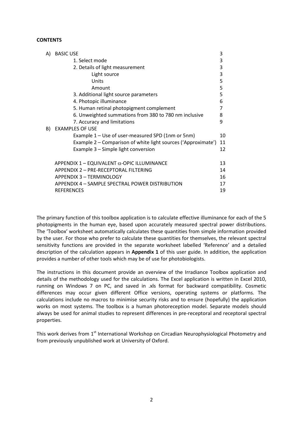#### **CONTENTS**

| A) | <b>BASIC USE</b>                                              | 3  |
|----|---------------------------------------------------------------|----|
|    | 1. Select mode                                                | 3  |
|    | 2. Details of light measurement                               | 3  |
|    | Light source                                                  | 3  |
|    | Units                                                         | 5  |
|    | Amount                                                        | 5  |
|    | 3. Additional light source parameters                         | 5  |
|    | 4. Photopic illuminance                                       | 6  |
|    | 5. Human retinal photopigment complement                      | 7  |
|    | 6. Unweighted summations from 380 to 780 nm inclusive         | 8  |
|    | 7. Accuracy and limitations                                   | 9  |
| B) | <b>EXAMPLES OF USE</b>                                        |    |
|    | Example 1 – Use of user-measured SPD (1nm or 5nm)             | 10 |
|    | Example 2 – Comparison of white light sources ('Approximate') | 11 |
|    | Example 3 – Simple light conversion                           | 12 |
|    | APPENDIX 1 - EQUIVALENT $\alpha$ -OPIC ILLUMINANCE            | 13 |
|    | APPENDIX 2 - PRE-RECEPTORAL FILTERING                         | 14 |
|    | APPENDIX 3 - TERMINOLOGY                                      | 16 |
|    | APPENDIX 4 - SAMPLE SPECTRAL POWER DISTRIBUTION               | 17 |
|    | <b>REFERENCES</b>                                             | 19 |

The primary function of this toolbox application is to calculate effective illuminance for each of the 5 photopigments in the human eye, based upon accurately measured spectral power distributions. The 'Toolbox' worksheet automatically calculates these quantities from simple information provided by the user. For those who prefer to calculate these quantities for themselves, the relevant spectral sensitivity functions are provided in the separate worksheet labelled 'Reference' and a detailed description of the calculation appears in **Appendix 1** of this user guide. In addition, the application provides a number of other tools which may be of use for photobiologists.

The instructions in this document provide an overview of the Irradiance Toolbox application and details of the methodology used for the calculations. The Excel application is written in Excel 2010, running on Windows 7 on PC, and saved in .xls format for backward compatibility. Cosmetic differences may occur given different Office versions, operating systems or platforms. The calculations include no macros to minimise security risks and to ensure (hopefully) the application works on most systems. The toolbox is a human photoreception model. Separate models should always be used for animal studies to represent differences in pre-receptoral and receptoral spectral properties.

This work derives from 1<sup>st</sup> International Workshop on Circadian Neurophysiological Photometry and from previously unpublished work at University of Oxford.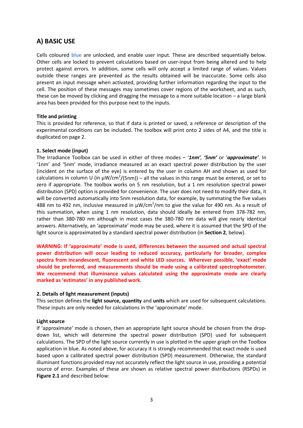# **A) BASIC USE**

Cells coloured **blue** are unlocked, and enable user input. These are described sequentially below. Other cells are locked to prevent calculations based on user-input from being altered and to help protect against errors. In addition, some cells will only accept a limited range of values. Values outside these ranges are prevented as the results obtained will be inaccurate. Some cells also present an input message when activated, providing further information regarding the input to the cell. The position of these messages may sometimes cover regions of the worksheet, and as such, these can be moved by clicking and dragging the message to a more suitable location – a large blank area has been provided for this purpose next to the inputs.

#### **Title and printing**

This is provided for reference, so that if data is printed or saved, a reference or description of the experimental conditions can be included. The toolbox will print onto 2 sides of A4, and the title is duplicated on page 2.

#### **1. Select mode (input)**

The Irradiance Toolbox can be used in either of three modes – '*1nm', '5nm'* or '*approximate'*. In '1nm' and '5nm' mode, irradiance measured as an exact spectral power distribution by the user (incident on the surface of the eye) is entered by the user in column AH and shown as used for calculations in column U (in  $\mu$ W/cm<sup>2</sup>/(5nm)) – all the values in this range must be entered, or set to zero if appropriate. The toolbox works on 5 nm resolution, but a 1 nm resolution spectral power distribution (SPD) option is provided for convenience. The user does not need to modify their data, it will be converted automatically into 5nm resolution data, for example, by summating the five values 488 nm to 492 nm, inclusive measured in  $\mu$ W/cm<sup>2</sup>/nm to give the value for 490 nm. As a result of this summation, when using 1 nm resolution, data should ideally be entered from 378-782 nm, rather than 380-780 nm although in most cases the 380-780 nm data will give nearly identical answers. Alternatively, an 'approximate' mode may be used, where it is assumed that the SPD of the light source is approximated by a standard spectral power distribution (in **Section 2**, below).

**WARNING: If 'approximate' mode is used, differences between the assumed and actual spectral power distribution will occur leading to reduced accuracy, particularly for broader, complex spectra from incandescent, fluorescent and white LED sources. Wherever possible, 'exact' mode should be preferred, and measurements should be made using a calibrated spectrophotometer. We recommend that illuminance values calculated using the approximate mode are clearly marked as 'estimates' in any published work.**

#### **2. Details of light measurement (inputs)**

This section defines the **light source, quantity** and **units** which are used for subsequent calculations. These inputs are only needed for calculations in the 'approximate' mode.

#### **Light source**

If 'approximate' mode is chosen, then an appropriate light source should be chosen from the dropdown list, which will determine the spectral power distribution (SPD) used for subsequent calculations. The SPD of the light source currently in use is plotted in the upper graph on the Toolbox application in blue. As noted above, for accuracy it is strongly recommended that exact mode is used based upon a calibrated spectral power distribution (SPD) measurement. Otherwise, the standard illuminant functions provided may not accurately reflect the light source in use, providing a potential source of error. Examples of these are shown as relative spectral power distributions (RSPDs) in **Figure 2.1** and described below: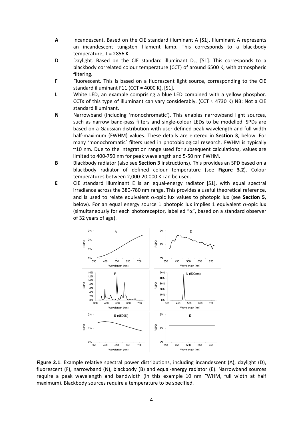- **A** Incandescent. Based on the CIE standard illuminant A [S1]. Illuminant A represents an incandescent tungsten filament lamp. This corresponds to a blackbody temperature, T = 2856 K.
- **D** Daylight. Based on the CIE standard illuminant D<sub>65</sub> [S1]. This corresponds to a blackbody correlated colour temperature (CCT) of around 6500 K, with atmospheric filtering.
- **F** Fluorescent. This is based on a fluorescent light source, corresponding to the CIE standard illuminant F11 (CCT = 4000 K), [S1].
- **L** White LED, an example comprising a blue LED combined with a yellow phosphor. CCTs of this type of illuminant can vary considerably. (CCT  $\approx$  4730 K) NB: Not a CIE standard illuminant.
- **N** Narrowband (including 'monochromatic'). This enables narrowband light sources, such as narrow band-pass filters and single-colour LEDs to be modelled. SPDs are based on a Gaussian distribution with user defined peak wavelength and full-width half-maximum (FWHM) values. These details are entered in **Section 3**, below. For many 'monochromatic' filters used in photobiological research, FWHM is typically ~10 nm. Due to the integration range used for subsequent calculations, values are limited to 400-750 nm for peak wavelength and 5-50 nm FWHM.
- **B** Blackbody radiator (also see **Section 3** instructions). This provides an SPD based on a blackbody radiator of defined colour temperature (see **Figure 3.2**). Colour temperatures between 2,000-20,000 K can be used.
- **E** CIE standard illuminant E is an equal-energy radiator [S1], with equal spectral irradiance across the 380-780 nm range. This provides a useful theoretical reference, and is used to relate equivalent α-opic lux values to photopic lux (see **Section 5**, below). For an equal energy source 1 photopic lux implies 1 equivalent  $\alpha$ -opic lux (simultaneously for each photoreceptor, labelled "α", based on a standard observer of 32 years of age).



**Figure 2.1**. Example relative spectral power distributions, including incandescent (A), daylight (D), fluorescent (F), narrowband (N), blackbody (B) and equal-energy radiator (E). Narrowband sources require a peak wavelength and bandwidth (in this example 10 nm FWHM, full width at half maximum). Blackbody sources require a temperature to be specified.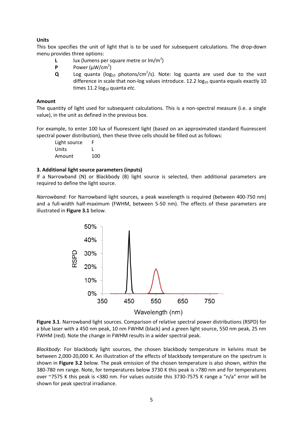#### **Units**

This box specifies the unit of light that is to be used for subsequent calculations. The drop-down menu provides three options:

- **L** lux (lumens per square metre or  $Im/m<sup>2</sup>$ )
- **P** Power  $(\mu W/cm^2)$
- $Q$  Log quanta ( $log_{10}$  photons/cm<sup>2</sup>/s). Note: log quanta are used due to the vast difference in scale that non-log values introduce. 12.2  $log<sub>10</sub>$  quanta equals exactly 10 times 11.2 log<sub>10</sub> quanta *etc.*

#### **Amount**

The quantity of light used for subsequent calculations. This is a non-spectral measure (i.e. a single value), in the unit as defined in the previous box.

For example, to enter 100 lux of fluorescent light (based on an approximated standard fluorescent spectral power distribution), then these three cells should be filled out as follows:

Light source F Units L Amount 100

#### **3. Additional light source parameters (inputs)**

If a Narrowband (N) or Blackbody (B) light source is selected, then additional parameters are required to define the light source.

*Narrowband*: For Narrowband light sources, a peak wavelength is required (between 400-750 nm) and a full-width half-maximum (FWHM, between 5-50 nm). The effects of these parameters are illustrated in **Figure 3.1** below.



**Figure 3.1**. Narrowband light sources. Comparison of relative spectral power distributions (RSPD) for a blue laser with a 450 nm peak, 10 nm FWHM (black) and a green light source, 550 nm peak, 25 nm FWHM (red). Note the change in FWHM results in a wider spectral peak.

*Blackbody*: For blackbody light sources, the chosen blackbody temperature in kelvins must be between 2,000-20,000 K. An illustration of the effects of blackbody temperature on the spectrum is shown in **Figure 3.2** below. The peak emission of the chosen temperature is also shown, within the 380-780 nm range. Note, for temperatures below 3730 K this peak is >780 nm and for temperatures over ~7575 K this peak is <380 nm. For values outside this 3730-7575 K range a "n/a" error will be shown for peak spectral irradiance.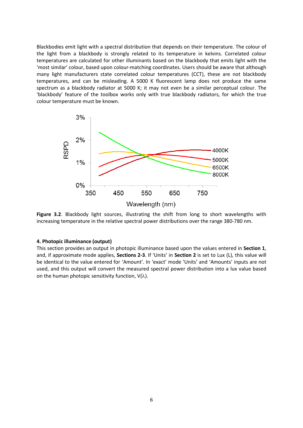Blackbodies emit light with a spectral distribution that depends on their temperature. The colour of the light from a blackbody is strongly related to its temperature in kelvins. Correlated colour temperatures are calculated for other illuminants based on the blackbody that emits light with the 'most similar' colour, based upon colour-matching coordinates. Users should be aware that although many light manufacturers state correlated colour temperatures (CCT), these are not blackbody temperatures, and can be misleading. A 5000 K fluorescent lamp does not produce the same spectrum as a blackbody radiator at 5000 K; it may not even be a similar perceptual colour. The 'blackbody' feature of the toolbox works only with true blackbody radiators, for which the true colour temperature must be known.



Figure 3.2. Blackbody light sources, illustrating the shift from long to short wavelengths with increasing temperature in the relative spectral power distributions over the range 380-780 nm.

#### **4. Photopic illuminance (output)**

This section provides an output in photopic illuminance based upon the values entered in **Section 1**, and, if approximate mode applies, **Sections 2-3**. If 'Units' in **Section 2** is set to Lux (L), this value will be identical to the value entered for 'Amount'. In 'exact' mode 'Units' and 'Amounts' inputs are not used, and this output will convert the measured spectral power distribution into a lux value based on the human photopic sensitivity function,  $V(\lambda)$ .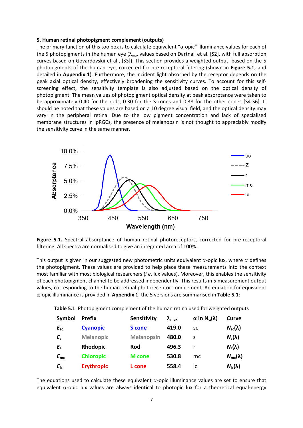#### **5. Human retinal photopigment complement (outputs)**

The primary function of this toolbox is to calculate equivalent "α-opic" illuminance values for each of the 5 photopigments in the human eye ( $\lambda_{\text{max}}$  values based on Dartnall et al. [S2], with full absorption curves based on Govardovskii et al., [S3]). This section provides a weighted output, based on the 5 photopigments of the human eye, corrected for pre-receptoral filtering (shown in **Figure 5.1,** and detailed in **Appendix 1**). Furthermore, the incident light absorbed by the receptor depends on the peak axial optical density, effectively broadening the sensitivity curves. To account for this selfscreening effect, the sensitivity template is also adjusted based on the optical density of photopigment. The mean values of photopigment optical density at peak absorptance were taken to be approximately 0.40 for the rods, 0.30 for the S-cones and 0.38 for the other cones [S4-S6]. It should be noted that these values are based on a 10 degree visual field, and the optical density may vary in the peripheral retina. Due to the low pigment concentration and lack of specialised membrane structures in ipRGCs, the presence of melanopsin is not thought to appreciably modify the sensitivity curve in the same manner.



**Figure 5.1.** Spectral absorptance of human retinal photoreceptors, corrected for pre-receptoral filtering. All spectra are normalised to give an integrated area of 100%.

This output is given in our suggested new photometric units equivalent  $\alpha$ -opic lux, where  $\alpha$  defines the photopigment. These values are provided to help place these measurements into the context most familiar with most biological researchers (*i.e*. lux values). Moreover, this enables the sensitivity of each photopigment channel to be addressed independently. This results in 5 measurement output values, corresponding to the human retinal photoreceptor complement. An equation for equivalent α-opic illuminance is provided in **Appendix 1**; the 5 versions are summarised in **Table 5.1**:

**Table 5.1**. Photopigment complement of the human retina used for weighted outputs

| Symbol       | <b>Prefix</b>     | <b>Sensitivity</b> | $\lambda_{\text{max}}$ | $\alpha$ in N <sub>a</sub> ( $\lambda$ ) | Curve                 |
|--------------|-------------------|--------------------|------------------------|------------------------------------------|-----------------------|
| $E_{sc}$     | <b>Cyanopic</b>   | <b>S</b> cone      | 419.0                  | <b>SC</b>                                | $N_{\rm sc}(\lambda)$ |
| $E_{z}$      | <b>Melanopic</b>  | <b>Melanopsin</b>  | 480.0                  | z                                        | $N_z(\lambda)$        |
| $E_{r}$      | Rhodopic          | Rod                | 496.3                  |                                          | $N_r(\lambda)$        |
| $E_{\rm mc}$ | <b>Chloropic</b>  | <b>M</b> cone      | 530.8                  | mc                                       | $N_{\rm mc}(\lambda)$ |
| $E_{\rm lc}$ | <b>Erythropic</b> | L cone             | 558.4                  | IC                                       | $N_{\rm lc}(\lambda)$ |

The equations used to calculate these equivalent  $\alpha$ -opic illuminance values are set to ensure that equivalent  $\alpha$ -opic lux values are always identical to photopic lux for a theoretical equal-energy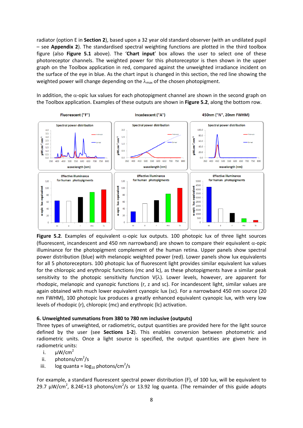radiator (option E in **Section 2**), based upon a 32 year old standard observer (with an undilated pupil – see **Appendix 2**). The standardised spectral weighting functions are plotted in the third toolbox figure (also **Figure 5.1** above). The '**Chart input**' box allows the user to select one of these photoreceptor channels. The weighted power for this photoreceptor is then shown in the upper graph on the Toolbox application in red, compared against the unweighted irradiance incident on the surface of the eye in blue. As the chart input is changed in this section, the red line showing the weighted power will change depending on the  $\lambda_{\text{max}}$  of the chosen photopigment.

In addition, the  $\alpha$ -opic lux values for each photopigment channel are shown in the second graph on the Toolbox application. Examples of these outputs are shown in **Figure 5.2**, along the bottom row.



**Figure 5.2**. Examples of equivalent α-opic lux outputs. 100 photopic lux of three light sources (fluorescent, incandescent and 450 nm narrowband) are shown to compare their equivalent  $\alpha$ -opic illuminance for the photopigment complement of the human retina. Upper panels show spectral power distribution (blue) with melanopic weighted power (red). Lower panels show lux equivalents for all 5 photoreceptors. 100 photopic lux of fluorescent light provides similar equivalent lux values for the chloropic and erythropic functions (mc and lc), as these photopigments have a similar peak sensitivity to the photopic sensitivity function  $V(\lambda)$ . Lower levels, however, are apparent for rhodopic, melanopic and cyanopic functions (r, z and sc). For incandescent light, similar values are again obtained with much lower equivalent cyanopic lux (sc). For a narrowband 450 nm source (20 nm FWHM), 100 photopic lux produces a greatly enhanced equivalent cyanopic lux, with very low levels of rhodopic (r), chloropic (mc) and erythropic (lc) activation.

#### **6. Unweighted summations from 380 to 780 nm inclusive (outputs)**

Three types of unweighted, or radiometric, output quantities are provided here for the light source defined by the user (see **Sections 1-2**). This enables conversion between photometric and radiometric units. Once a light source is specified, the output quantities are given here in radiometric units:

- i.  $\mu W/cm^2$
- ii. photons/cm<sup>2</sup>/s
- iii.  $log q$ uanta =  $log_{10}$  photons/cm<sup>2</sup>/s

For example, a standard fluorescent spectral power distribution (F), of 100 lux, will be equivalent to 29.7  $\mu$ W/cm<sup>2</sup>, 8.24E+13 photons/cm<sup>2</sup>/s or 13.92 log quanta. (The remainder of this guide adopts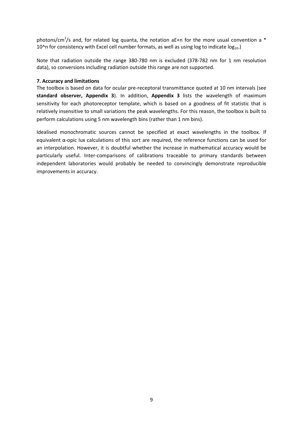photons/cm<sup>2</sup>/s and, for related log quanta, the notation aE+n for the more usual convention a \* 10^n for consistency with Excel cell number formats, as well as using log to indicate  $log_{10}$ .)

Note that radiation outside the range 380-780 nm is excluded (378-782 nm for 1 nm resolution data), so conversions including radiation outside this range are not supported.

#### **7. Accuracy and limitations**

The toolbox is based on data for ocular pre-receptoral transmittance quoted at 10 nm intervals (see **standard observer, Appendix 3**). In addition, **Appendix 3** lists the wavelength of maximum sensitivity for each photoreceptor template, which is based on a goodness of fit statistic that is relatively insensitive to small variations the peak wavelengths. For this reason, the toolbox is built to perform calculations using 5 nm wavelength bins (rather than 1 nm bins).

Idealised monochromatic sources cannot be specified at exact wavelengths in the toolbox. If equivalent α-opic lux calculations of this sort are required, the reference functions can be used for an interpolation. However, it is doubtful whether the increase in mathematical accuracy would be particularly useful. Inter-comparisons of calibrations traceable to primary standards between independent laboratories would probably be needed to convincingly demonstrate reproducible improvements in accuracy.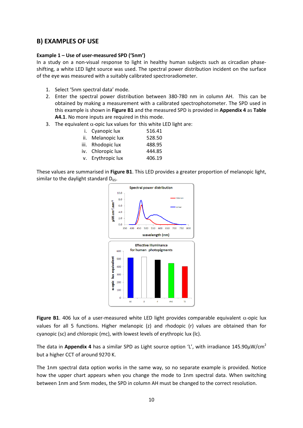## **B) EXAMPLES OF USE**

#### **Example 1 – Use of user-measured SPD ('5nm')**

In a study on a non-visual response to light in healthy human subjects such as circadian phaseshifting, a white LED light source was used. The spectral power distribution incident on the surface of the eye was measured with a suitably calibrated spectroradiometer.

- 1. Select '5nm spectral data' mode.
- 2. Enter the spectral power distribution between 380-780 nm in column AH. This can be obtained by making a measurement with a calibrated spectrophotometer. The SPD used in this example is shown in **Figure B1** and the measured SPD is provided in **Appendix 4** as **Table A4.1**. No more inputs are required in this mode.
- 3. The equivalent  $\alpha$ -opic lux values for this white LED light are:

| i. Cyanopic lux   | 516.41 |
|-------------------|--------|
| ii. Melanopic lux | 528.50 |
| iii. Rhodopic lux | 488.95 |
| iv. Chloropic lux | 444.85 |
| v. Erythropic lux | 406.19 |

These values are summarised in **Figure B1**. This LED provides a greater proportion of melanopic light, similar to the daylight standard  $D_{65}$ .



**Figure B1.** 406 lux of a user-measured white LED light provides comparable equivalent  $\alpha$ -opic lux values for all 5 functions. Higher melanopic (z) and rhodopic (r) values are obtained than for cyanopic (sc) and chloropic (mc), with lowest levels of erythropic lux (lc).

The data in **Appendix 4** has a similar SPD as Light source option 'L', with irradiance 145.90µW/cm<sup>2</sup> but a higher CCT of around 9270 K.

The 1nm spectral data option works in the same way, so no separate example is provided. Notice how the upper chart appears when you change the mode to 1nm spectral data. When switching between 1nm and 5nm modes, the SPD in column AH must be changed to the correct resolution.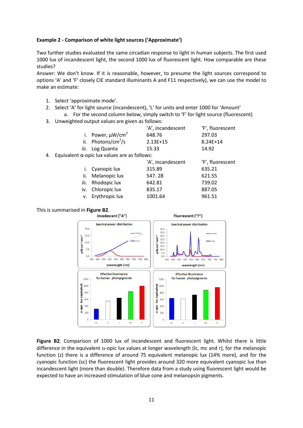#### **Example 2 - Comparison of white light sources ('Approximate')**

Two further studies evaluated the same circadian response to light in human subjects. The first used 1000 lux of incandescent light, the second 1000 lux of fluorescent light. How comparable are these studies?

Answer: We don't know. If it is reasonable, however, to presume the light sources correspond to options 'A' and 'F' closely CIE standard illuminants A and F11 respectively), we can use the model to make an estimate:

- 1. Select 'approximate mode'.
- 2. Select 'A' for light source (incandescent), 'L' for units and enter 1000 for 'Amount' a. For the second column below, simply switch to 'F' for light source (fluorescent)
- 3. Unweighted output values are given as follows:

|                                                         | 'A', incandescent | 'F', fluorescent |
|---------------------------------------------------------|-------------------|------------------|
| i. Power, $\mu$ W/cm <sup>2</sup>                       | 648.76            | 297.03           |
| ii. Photons/cm <sup>2</sup> /s                          | $2.13E+15$        | $8.24E + 14$     |
| iii. Log Quanta                                         | 15.33             | 14.92            |
| 4. Equivalent $\alpha$ -opic lux values are as follows: |                   |                  |

|                   | 'A', incandescent | 'F', fluorescent |
|-------------------|-------------------|------------------|
| i. Cyanopic lux   | 315.89            | 635.21           |
| ii. Melanopic lux | 547.28            | 621.55           |
| iii. Rhodopic lux | 642.81            | 739.02           |
| iv. Chloropic lux | 835.17            | 887.05           |
| v. Erythropic lux | 1001.64           | 961.51           |

# This is summarised in **Figure B2**.



**Figure B2**. Comparison of 1000 lux of incandescent and fluorescent light. Whilst there is little difference in the equivalent  $\alpha$ -opic lux values at longer wavelength (Ic, mc and r), for the melanopic function (z) there is a difference of around 75 equivalent melanopic lux (14% more), and for the cyanopic function (sc) the fluorescent light provides around 320 more equivalent cyanopic lux than incandescent light (more than double). Therefore data from a study using fluorescent light would be expected to have an increased stimulation of blue cone and melanopsin pigments.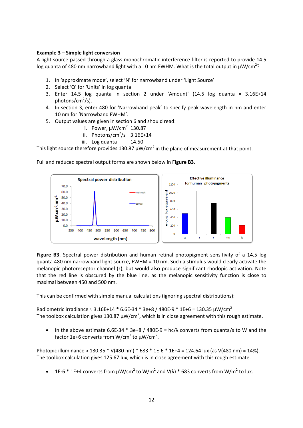#### **Example 3 – Simple light conversion**

A light source passed through a glass monochromatic interference filter is reported to provide 14.5 log quanta of 480 nm narrowband light with a 10 nm FWHM. What is the total output in  $\mu$ W/cm<sup>2</sup>?

- 1. In 'approximate mode', select 'N' for narrowband under 'Light Source'
- 2. Select 'Q' for 'Units' in log quanta
- 3. Enter 14.5 log quanta in section 2 under 'Amount' (14.5 log quanta = 3.16E+14 photons/cm<sup>2</sup>/s).
- 4. In section 3, enter 480 for 'Narrowband peak' to specify peak wavelength in nm and enter 10 nm for 'Narrowband FWHM'.
- 5. Output values are given in section 6 and should read:
	- i. Power,  $\mu$ W/cm<sup>2</sup> 130.87
	- ii. Photons/cm<sup>2</sup>/s  $3.16E+14$
	- iii. Log quanta 14.50

This light source therefore provides 130.87  $\mu$ W/cm<sup>2</sup> in the plane of measurement at that point.

Full and reduced spectral output forms are shown below in **Figure B3**.



**Figure B3**. Spectral power distribution and human retinal photopigment sensitivity of a 14.5 log quanta 480 nm narrowband light source, FWHM = 10 nm. Such a stimulus would clearly activate the melanopic photoreceptor channel (z), but would also produce significant rhodopic activation. Note that the red line is obscured by the blue line, as the melanopic sensitivity function is close to maximal between 450 and 500 nm.

This can be confirmed with simple manual calculations (ignoring spectral distributions):

Radiometric irradiance ≈ 3.16E+14 \* 6.6E-34 \* 3e+8 / 480E-9 \* 1E+6 = 130.35  $\mu$ W/cm<sup>2</sup> The toolbox calculation gives 130.87  $\mu$ W/cm<sup>2</sup>, which is in close agreement with this rough estimate.

In the above estimate 6.6E-34  $*$  3e+8 / 480E-9 = hc/ $\lambda$  converts from quanta/s to W and the factor 1e+6 converts from W/cm<sup>2</sup> to  $\mu$ W/cm<sup>2</sup>.

Photopic illuminance ≈ 130.35 \* V(480 nm) \* 683 \* 1E-6 \* 1E+4 = 124.64 lux (as V(480 nm) ≈ 14%). The toolbox calculation gives 125.67 lux, which is in close agreement with this rough estimate.

1E-6  $*$  1E+4 converts from  $\mu$ W/cm<sup>2</sup> to W/m<sup>2</sup> and V( $\lambda$ )  $*$  683 converts from W/m<sup>2</sup> to lux.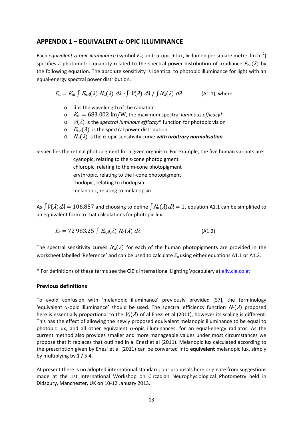# **APPENDIX 1 – EQUIVALENT** α**-OPIC ILLUMINANCE**

Each *equivalent α-opic illuminance* (symbol  $E_{\alpha}$ ; unit: α-opic + lux, lx, lumen per square metre, lm.m<sup>-2</sup>) specifies a photometric quantity related to the spectral power distribution of irradiance  $E_{e,\lambda}(\lambda)$  by the following equation. The absolute sensitivity is identical to photopic illuminance for light with an equal-energy spectral power distribution.

 $E_{\alpha} = K_{\rm m} \int E_{\rm e} \lambda(\lambda) N_{\alpha}(\lambda) d\lambda + \int V(\lambda) d\lambda / \int N_{\alpha}(\lambda) d\lambda$  (A1.1), where

- $\circ$   $\lambda$  is the wavelength of the radiation
- o <sup>K</sup><sup>m</sup> = 683.002 lm/W, the maximum spectral *luminous efficacy*\*
- o <sup>V</sup>(λ) is the *spectral luminous efficacy\** function for photopic vision
- $E_{\rm e, \lambda}(\lambda)$  is the spectral power distribution
- o <sup>N</sup>α(λ) is the α-opic sensitivity curve *with arbitrary normalisation.*

*α* specifies the retinal photopigment for a given organism. For example, the five human variants are:

cyanopic, relating to the s-cone photopigment chloropic, relating to the m-cone photopigment erythropic, relating to the l-cone photopigment rhodopic, relating to rhodopsin melanopic, relating to melanopsin

As  $\int V(\lambda) d\lambda = 106.857$  and choosing to define  $\int N_\alpha(\lambda) d\lambda = 1$ , equation A1.1 can be simplified to an equivalent form to that calculations for photopic lux:

$$
E_{\alpha} = 72\;983.25\int\,E_{e,\lambda}(\lambda)\;N_{\alpha}(\lambda)\;d\lambda\tag{A1.2}
$$

The spectral sensitivity curves  $N_\alpha(\lambda)$  for each of the human photopigments are provided in the worksheet labelled 'Reference' and can be used to calculate *E*<sup>α</sup> using either equations A1.1 or A1.2.

\* For definitions of these terms see the CIE's International Lighting Vocabulary at [eilv.cie.co.at](http://eilv.cie.co.at/)

#### **Previous definitions**

To avoid confusion with 'melanopic illuminance' previously provided [S7], the terminology 'equivalent  $\alpha$ -opic illuminance' should be used. The spectral efficiency function  $N_{z}(\lambda)$  proposed here is essentially proportional to the  $V_z(\lambda)$  of al Enezi et al (2011), however its scaling is different. This has the effect of allowing the newly proposed equivalent melanopic illuminance to be equal to photopic lux, and all other equivalent  $\alpha$ -opic illuminances, for an equal-energy radiator. As the current method also provides smaller and more manageable values under most circumstances we propose that it replaces that outlined in al Enezi et al (2011). Melanopic lux calculated according to the prescription given by Enezi et al (2011) can be converted into **equivalent** melanopic lux, simply by multiplying by 1 / 5.4.

At present there is no adopted international standard; our proposals here originate from suggestions made at the 1st International Workshop on Circadian Neurophysiological Photometry held in Didsbury, Manchester, UK on 10-12 January 2013.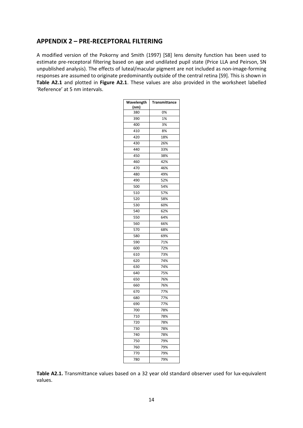### **APPENDIX 2 – PRE-RECEPTORAL FILTERING**

A modified version of the Pokorny and Smith (1997) [S8] lens density function has been used to estimate pre-receptoral filtering based on age and undilated pupil state (Price LLA and Peirson, SN unpublished analysis). The effects of luteal/macular pigment are not included as non-image-forming responses are assumed to originate predominantly outside of the central retina [S9]. This is shown in **Table A2.1** and plotted in **Figure A2.1**. These values are also provided in the worksheet labelled 'Reference' at 5 nm intervals.

| Wavelength | Transmittance |
|------------|---------------|
| (nm)       |               |
| 380        | 0%            |
| 390        | 1%            |
| 400        | 3%            |
| 410        | 8%            |
| 420        | 18%           |
| 430        | 26%           |
| 440        | 33%           |
| 450        | 38%           |
| 460        | 42%           |
| 470        | 46%           |
| 480        | 49%           |
| 490        | 52%           |
| 500        | 54%           |
| 510        | 57%           |
| 520        | 58%           |
| 530        | 60%           |
| 540        | 62%           |
| 550        | 64%           |
| 560        | 66%           |
| 570        | 68%           |
| 580        | 69%           |
| 590        | 71%           |
| 600        | 72%           |
| 610        | 73%           |
| 620        | 74%           |
| 630        | 74%           |
| 640        | 75%           |
| 650        | 76%           |
| 660        | 76%           |
| 670        | 77%           |
| 680        | 77%           |
| 690        | 77%           |
| 700        | 78%           |
| 710        | 78%           |
| 720        | 78%           |
| 730        | 78%           |
| 740        | 78%           |
| 750        | 79%           |
| 760        | 79%           |
| 770        | 79%           |
| 780        | 79%           |
|            |               |

**Table A2.1.** Transmittance values based on a 32 year old standard observer used for lux-equivalent values.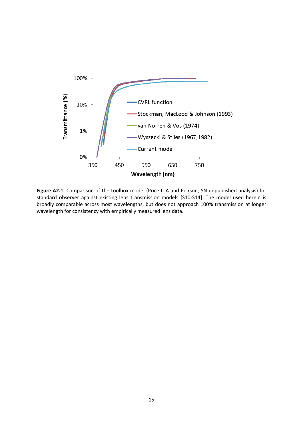

**Figure A2.1**. Comparison of the toolbox model (Price LLA and Peirson, SN unpublished analysis) for standard observer against existing lens transmission models [S10-S14]. The model used herein is broadly comparable across most wavelengths, but does not approach 100% transmission at longer wavelength for consistency with empirically measured lens data.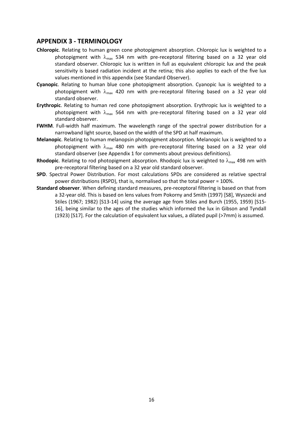### **APPENDIX 3 - TERMINOLOGY**

- **Chloropic**. Relating to human green cone photopigment absorption. Chloropic lux is weighted to a photopigment with  $\lambda_{\text{max}}$  534 nm with pre-receptoral filtering based on a 32 year old standard observer. Chloropic lux is written in full as equivalent chloropic lux and the peak sensitivity is based radiation incident at the retina; this also applies to each of the five lux values mentioned in this appendix (see Standard Observer).
- **Cyanopic**. Relating to human blue cone photopigment absorption. Cyanopic lux is weighted to a photopigment with  $\lambda_{\text{max}}$  420 nm with pre-receptoral filtering based on a 32 year old standard observer.
- **Erythropic**. Relating to human red cone photopigment absorption. Erythropic lux is weighted to a photopigment with  $\lambda_{\text{max}}$  564 nm with pre-receptoral filtering based on a 32 year old standard observer.
- **FWHM**. Full-width half maximum. The wavelength range of the spectral power distribution for a narrowband light source, based on the width of the SPD at half maximum.
- **Melanopic**. Relating to human melanopsin photopigment absorption. Melanopic lux is weighted to a photopigment with  $\lambda_{\text{max}}$  480 nm with pre-receptoral filtering based on a 32 year old standard observer (see Appendix 1 for comments about previous definitions).
- **Rhodopic**. Relating to rod photopigment absorption. Rhodopic lux is weighted to  $\lambda_{\text{max}}$  498 nm with pre-receptoral filtering based on a 32 year old standard observer.
- **SPD**. Spectral Power Distribution. For most calculations SPDs are considered as relative spectral power distributions (RSPD), that is, normalised so that the total power = 100%.
- **Standard observer**. When defining standard measures, pre-receptoral filtering is based on that from a 32-year old. This is based on lens values from Pokorny and Smith (1997) [S8], Wyszecki and Stiles (1967; 1982) [S13-14] using the average age from Stiles and Burch (1955, 1959) [S15- 16], being similar to the ages of the studies which informed the lux in Gibson and Tyndall (1923) [S17]. For the calculation of equivalent lux values, a dilated pupil (>7mm) is assumed.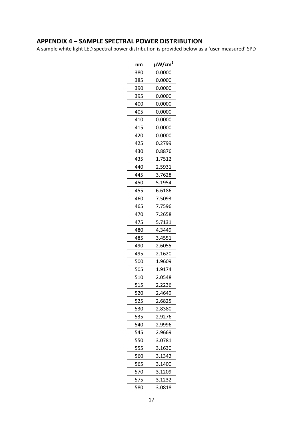# **APPENDIX 4 – SAMPLE SPECTRAL POWER DISTRIBUTION**

A sample white light LED spectral power distribution is provided below as a 'user-measured' SPD

| nm  | $\mu$ W/cm $^2$ |
|-----|-----------------|
| 380 | 0.0000          |
| 385 | 0.0000          |
| 390 | 0.0000          |
| 395 | 0.0000          |
| 400 | 0.0000          |
| 405 | 0.0000          |
| 410 | 0.0000          |
| 415 | 0.0000          |
| 420 | 0.0000          |
| 425 | 0.2799          |
| 430 | 0.8876          |
| 435 | 1.7512          |
| 440 | 2.5931          |
| 445 | 3.7628          |
| 450 | 5.1954          |
| 455 | 6.6186          |
| 460 | 7.5093          |
| 465 | 7.7596          |
| 470 | 7.2658          |
| 475 | 5.7131          |
| 480 | 4.3449          |
| 485 | 3.4551          |
| 490 | 2.6055          |
| 495 | 2.1620          |
| 500 | 1.9609          |
| 505 | 1.9174          |
| 510 | 2.0548          |
| 515 | 2.2236          |
| 520 | 2.4649          |
| 525 | 2.6825          |
| 530 | 2.8380          |
| 535 | 2.9276          |
| 540 | 2.9996          |
| 545 | 2.9669          |
| 550 | 3.0781          |
| 555 | 3.1630          |
| 560 | 3.1342          |
| 565 | 3.1400          |
| 570 | 3.1209          |
| 575 | 3.1232          |
| 580 | 3.0818          |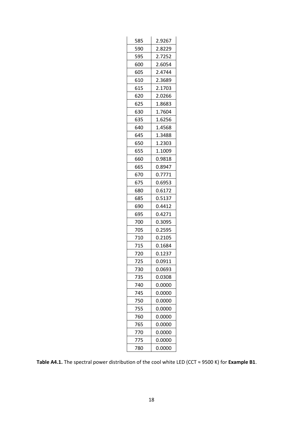| 585 | 2.9267 |
|-----|--------|
| 590 | 2.8229 |
| 595 | 2.7252 |
| 600 | 2.6054 |
| 605 | 2.4744 |
| 610 | 2.3689 |
| 615 | 2.1703 |
| 620 | 2.0266 |
| 625 | 1.8683 |
| 630 | 1.7604 |
| 635 | 1.6256 |
| 640 | 1.4568 |
| 645 | 1.3488 |
| 650 | 1.2303 |
| 655 | 1.1009 |
| 660 | 0.9818 |
| 665 | 0.8947 |
| 670 | 0.7771 |
| 675 | 0.6953 |
| 680 | 0.6172 |
|     |        |
| 685 | 0.5137 |
| 690 | 0.4412 |
| 695 | 0.4271 |
| 700 | 0.3095 |
| 705 | 0.2595 |
| 710 | 0.2105 |
| 715 | 0.1684 |
| 720 | 0.1237 |
| 725 | 0.0911 |
| 730 | 0.0693 |
| 735 | 0.0308 |
| 740 | 0.0000 |
| 745 | 0.0000 |
| 750 | 0.0000 |
| 755 | 0.0000 |
| 760 | 0.0000 |
| 765 | 0.0000 |
| 770 | 0.0000 |
| 775 | 0.0000 |

**Table A4.1.** The spectral power distribution of the cool white LED (CCT ≈ 9500 K) for **Example B1**.